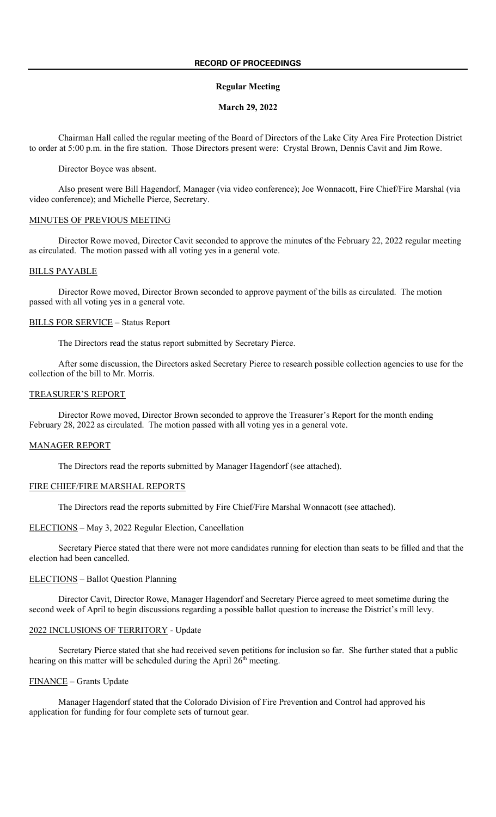### **Regular Meeting**

#### **March 29, 2022**

Chairman Hall called the regular meeting of the Board of Directors of the Lake City Area Fire Protection District to order at 5:00 p.m. in the fire station. Those Directors present were: Crystal Brown, Dennis Cavit and Jim Rowe.

Director Boyce was absent.

Also present were Bill Hagendorf, Manager (via video conference); Joe Wonnacott, Fire Chief/Fire Marshal (via video conference); and Michelle Pierce, Secretary.

#### MINUTES OF PREVIOUS MEETING

Director Rowe moved, Director Cavit seconded to approve the minutes of the February 22, 2022 regular meeting as circulated. The motion passed with all voting yes in a general vote.

#### BILLS PAYABLE

Director Rowe moved, Director Brown seconded to approve payment of the bills as circulated. The motion passed with all voting yes in a general vote.

#### BILLS FOR SERVICE – Status Report

The Directors read the status report submitted by Secretary Pierce.

After some discussion, the Directors asked Secretary Pierce to research possible collection agencies to use for the collection of the bill to Mr. Morris.

## TREASURER'S REPORT

Director Rowe moved, Director Brown seconded to approve the Treasurer's Report for the month ending February 28, 2022 as circulated. The motion passed with all voting yes in a general vote.

#### MANAGER REPORT

The Directors read the reports submitted by Manager Hagendorf (see attached).

#### FIRE CHIEF/FIRE MARSHAL REPORTS

The Directors read the reports submitted by Fire Chief/Fire Marshal Wonnacott (see attached).

#### ELECTIONS – May 3, 2022 Regular Election, Cancellation

Secretary Pierce stated that there were not more candidates running for election than seats to be filled and that the election had been cancelled.

## ELECTIONS – Ballot Question Planning

Director Cavit, Director Rowe, Manager Hagendorf and Secretary Pierce agreed to meet sometime during the second week of April to begin discussions regarding a possible ballot question to increase the District's mill levy.

## 2022 INCLUSIONS OF TERRITORY - Update

Secretary Pierce stated that she had received seven petitions for inclusion so far. She further stated that a public hearing on this matter will be scheduled during the April 26<sup>th</sup> meeting.

## FINANCE – Grants Update

Manager Hagendorf stated that the Colorado Division of Fire Prevention and Control had approved his application for funding for four complete sets of turnout gear.